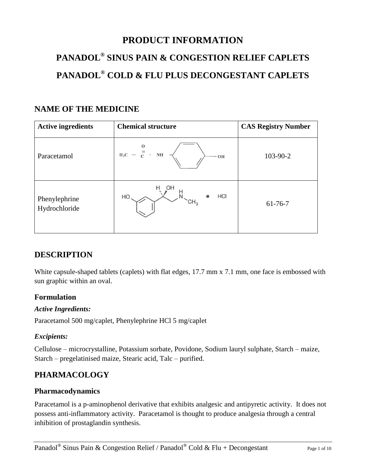# **PRODUCT INFORMATION**

## **PANADOL® SINUS PAIN & CONGESTION RELIEF CAPLETS PANADOL® COLD & FLU PLUS DECONGESTANT CAPLETS**

## **NAME OF THE MEDICINE**

| <b>Active ingredients</b>      | <b>Chemical structure</b>           | <b>CAS Registry Number</b> |
|--------------------------------|-------------------------------------|----------------------------|
| Paracetamol                    | $H_3C - \frac{H}{C}$ .<br>NH<br>OH  | 103-90-2                   |
| Phenylephrine<br>Hydrochloride | OH<br>HCI<br>HO.<br>CH <sub>3</sub> | $61-76-7$                  |

## **DESCRIPTION**

White capsule-shaped tablets (caplets) with flat edges, 17.7 mm x 7.1 mm, one face is embossed with sun graphic within an oval.

## **Formulation**

## *Active Ingredients:*

Paracetamol 500 mg/caplet, Phenylephrine HCl 5 mg/caplet

## *Excipients:*

Cellulose – microcrystalline, Potassium sorbate, Povidone, Sodium lauryl sulphate, Starch – maize, Starch – pregelatinised maize, Stearic acid, Talc – purified.

## **PHARMACOLOGY**

## **Pharmacodynamics**

Paracetamol is a p-aminophenol derivative that exhibits analgesic and antipyretic activity. It does not possess anti-inflammatory activity. Paracetamol is thought to produce analgesia through a central inhibition of prostaglandin synthesis.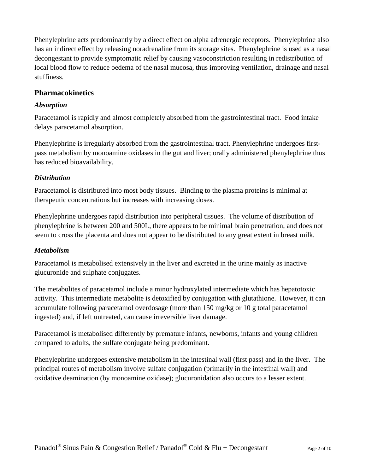Phenylephrine acts predominantly by a direct effect on alpha adrenergic receptors. Phenylephrine also has an indirect effect by releasing noradrenaline from its storage sites. Phenylephrine is used as a nasal decongestant to provide symptomatic relief by causing vasoconstriction resulting in redistribution of local blood flow to reduce oedema of the nasal mucosa, thus improving ventilation, drainage and nasal stuffiness.

## **Pharmacokinetics**

#### *Absorption*

Paracetamol is rapidly and almost completely absorbed from the gastrointestinal tract. Food intake delays paracetamol absorption.

Phenylephrine is irregularly absorbed from the gastrointestinal tract. Phenylephrine undergoes firstpass metabolism by monoamine oxidases in the gut and liver; orally administered phenylephrine thus has reduced bioavailability.

## *Distribution*

Paracetamol is distributed into most body tissues. Binding to the plasma proteins is minimal at therapeutic concentrations but increases with increasing doses.

Phenylephrine undergoes rapid distribution into peripheral tissues. The volume of distribution of phenylephrine is between 200 and 500L, there appears to be minimal brain penetration, and does not seem to cross the placenta and does not appear to be distributed to any great extent in breast milk.

## *Metabolism*

Paracetamol is metabolised extensively in the liver and excreted in the urine mainly as inactive glucuronide and sulphate conjugates.

The metabolites of paracetamol include a minor hydroxylated intermediate which has hepatotoxic activity. This intermediate metabolite is detoxified by conjugation with glutathione. However, it can accumulate following paracetamol overdosage (more than 150 mg/kg or 10 g total paracetamol ingested) and, if left untreated, can cause irreversible liver damage.

Paracetamol is metabolised differently by premature infants, newborns, infants and young children compared to adults, the sulfate conjugate being predominant.

Phenylephrine undergoes extensive metabolism in the intestinal wall (first pass) and in the liver. The principal routes of metabolism involve sulfate conjugation (primarily in the intestinal wall) and oxidative deamination (by monoamine oxidase); glucuronidation also occurs to a lesser extent.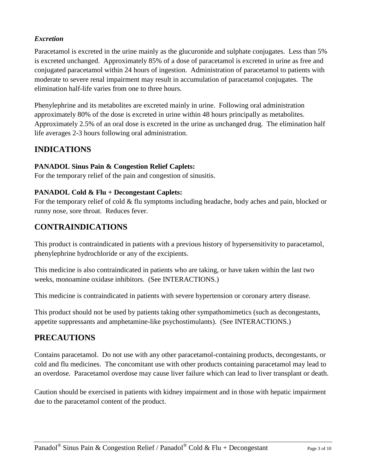## *Excretion*

Paracetamol is excreted in the urine mainly as the glucuronide and sulphate conjugates. Less than 5% is excreted unchanged. Approximately 85% of a dose of paracetamol is excreted in urine as free and conjugated paracetamol within 24 hours of ingestion. Administration of paracetamol to patients with moderate to severe renal impairment may result in accumulation of paracetamol conjugates. The elimination half-life varies from one to three hours.

Phenylephrine and its metabolites are excreted mainly in urine. Following oral administration approximately 80% of the dose is excreted in urine within 48 hours principally as metabolites. Approximately 2.5% of an oral dose is excreted in the urine as unchanged drug. The elimination half life averages 2-3 hours following oral administration.

## **INDICATIONS**

#### **PANADOL Sinus Pain & Congestion Relief Caplets:**

For the temporary relief of the pain and congestion of sinusitis.

#### **PANADOL Cold & Flu + Decongestant Caplets:**

For the temporary relief of cold & flu symptoms including headache, body aches and pain, blocked or runny nose, sore throat. Reduces fever.

## **CONTRAINDICATIONS**

This product is contraindicated in patients with a previous history of hypersensitivity to paracetamol, phenylephrine hydrochloride or any of the excipients.

This medicine is also contraindicated in patients who are taking, or have taken within the last two weeks, monoamine oxidase inhibitors. (See INTERACTIONS.)

This medicine is contraindicated in patients with severe hypertension or coronary artery disease.

This product should not be used by patients taking other sympathomimetics (such as decongestants, appetite suppressants and amphetamine-like psychostimulants). (See INTERACTIONS.)

## **PRECAUTIONS**

Contains paracetamol. Do not use with any other paracetamol-containing products, decongestants, or cold and flu medicines. The concomitant use with other products containing paracetamol may lead to an overdose. Paracetamol overdose may cause liver failure which can lead to liver transplant or death.

Caution should be exercised in patients with kidney impairment and in those with hepatic impairment due to the paracetamol content of the product.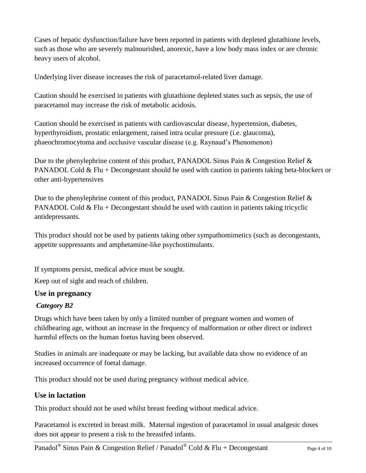Cases of hepatic dysfunction/failure have been reported in patients with depleted glutathione levels, such as those who are severely malnourished, anorexic, have a low body mass index or are chronic heavy users of alcohol.

Underlying liver disease increases the risk of paracetamol-related liver damage.

Caution should be exercised in patients with glutathione depleted states such as sepsis, the use of paracetamol may increase the risk of metabolic acidosis.

Caution should be exercised in patients with cardiovascular disease, hypertension, diabetes, hyperthyroidism, prostatic enlargement, raised intra ocular pressure (i.e. glaucoma), phaeochromocytoma and occlusive vascular disease (e.g. Raynaud's Phenomenon)

Due to the phenylephrine content of this product, PANADOL Sinus Pain & Congestion Relief & PANADOL Cold  $&$  Flu + Decongestant should be used with caution in patients taking beta-blockers or other anti-hypertensives

Due to the phenylephrine content of this product, PANADOL Sinus Pain & Congestion Relief & PANADOL Cold  $\&$  Flu + Decongestant should be used with caution in patients taking tricyclic antidepressants.

This product should not be used by patients taking other sympathomimetics (such as decongestants, appetite suppressants and amphetamine-like psychostimulants.

If symptoms persist, medical advice must be sought.

Keep out of sight and reach of children.

## **Use in pregnancy**

#### *Category B2*

Drugs which have been taken by only a limited number of pregnant women and women of childbearing age, without an increase in the frequency of malformation or other direct or indirect harmful effects on the human foetus having been observed.

Studies in animals are inadequate or may be lacking, but available data show no evidence of an increased occurrence of foetal damage.

This product should not be used during pregnancy without medical advice.

## **Use in lactation**

This product should not be used whilst breast feeding without medical advice.

Paracetamol is excreted in breast milk. Maternal ingestion of paracetamol in usual analgesic doses does not appear to present a risk to the breastfed infants.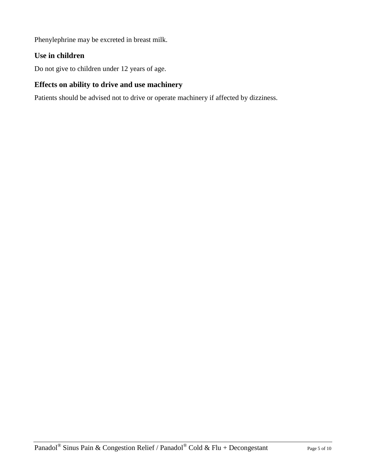Phenylephrine may be excreted in breast milk.

## **Use in children**

Do not give to children under 12 years of age.

## **Effects on ability to drive and use machinery**

Patients should be advised not to drive or operate machinery if affected by dizziness.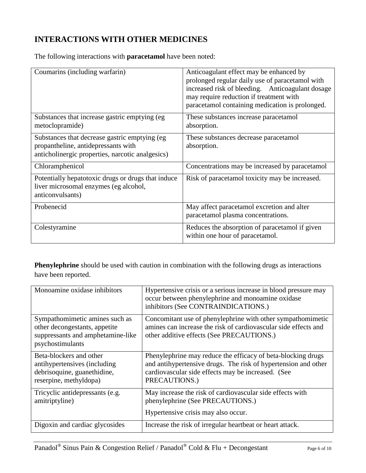## **INTERACTIONS WITH OTHER MEDICINES**

The following interactions with **paracetamol** have been noted:

| Coumarins (including warfarin)                                                                                                            | Anticoagulant effect may be enhanced by<br>prolonged regular daily use of paracetamol with<br>increased risk of bleeding. Anticoagulant dosage<br>may require reduction if treatment with<br>paracetamol containing medication is prolonged. |
|-------------------------------------------------------------------------------------------------------------------------------------------|----------------------------------------------------------------------------------------------------------------------------------------------------------------------------------------------------------------------------------------------|
| Substances that increase gastric emptying (eg)<br>metoclopramide)                                                                         | These substances increase paracetamol<br>absorption.                                                                                                                                                                                         |
| Substances that decrease gastric emptying (eg)<br>propantheline, antidepressants with<br>anticholinergic properties, narcotic analgesics) | These substances decrease paracetamol<br>absorption.                                                                                                                                                                                         |
| Chloramphenicol                                                                                                                           | Concentrations may be increased by paracetamol                                                                                                                                                                                               |
| Potentially hepatotoxic drugs or drugs that induce<br>liver microsomal enzymes (eg alcohol,<br>anticonvulsants)                           | Risk of paracetamol toxicity may be increased.                                                                                                                                                                                               |
| Probenecid                                                                                                                                | May affect paracetamol excretion and alter<br>paracetamol plasma concentrations.                                                                                                                                                             |
| Colestyramine                                                                                                                             | Reduces the absorption of paracetamol if given<br>within one hour of paracetamol.                                                                                                                                                            |

**Phenylephrine** should be used with caution in combination with the following drugs as interactions have been reported.

| Monoamine oxidase inhibitors                                                                                             | Hypertensive crisis or a serious increase in blood pressure may<br>occur between phenylephrine and monoamine oxidase<br>inhibitors (See CONTRAINDICATIONS.)                                           |
|--------------------------------------------------------------------------------------------------------------------------|-------------------------------------------------------------------------------------------------------------------------------------------------------------------------------------------------------|
| Sympathomimetic amines such as<br>other decongestants, appetite<br>suppressants and amphetamine-like<br>psychostimulants | Concomitant use of phenylephrine with other sympathomimetic<br>amines can increase the risk of cardiovascular side effects and<br>other additive effects (See PRECAUTIONS.)                           |
| Beta-blockers and other<br>antihypertensives (including<br>debrisoquine, guanethidine,<br>reserpine, methyldopa)         | Phenylephrine may reduce the efficacy of beta-blocking drugs<br>and antihypertensive drugs. The risk of hypertension and other<br>cardiovascular side effects may be increased. (See<br>PRECAUTIONS.) |
| Tricyclic antidepressants (e.g.<br>amitriptyline)                                                                        | May increase the risk of cardiovascular side effects with<br>phenylephrine (See PRECAUTIONS.)<br>Hypertensive crisis may also occur.                                                                  |
| Digoxin and cardiac glycosides                                                                                           | Increase the risk of irregular heartbeat or heart attack.                                                                                                                                             |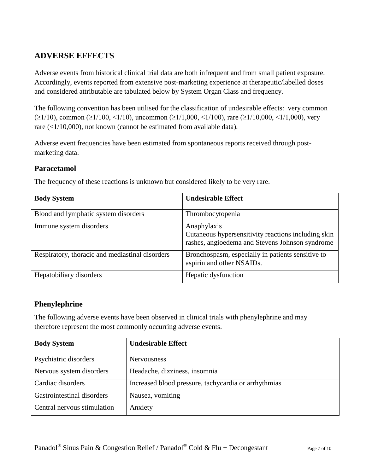## **ADVERSE EFFECTS**

Adverse events from historical clinical trial data are both infrequent and from small patient exposure. Accordingly, events reported from extensive post-marketing experience at therapeutic/labelled doses and considered attributable are tabulated below by System Organ Class and frequency.

The following convention has been utilised for the classification of undesirable effects: very common (≥1/10), common (≥1/100, <1/10), uncommon (≥1/1,000, <1/100), rare (≥1/10,000, <1/1,000), very rare (<1/10,000), not known (cannot be estimated from available data).

Adverse event frequencies have been estimated from spontaneous reports received through postmarketing data.

## **Paracetamol**

| <b>Body System</b>                              | <b>Undesirable Effect</b>                                                                                             |
|-------------------------------------------------|-----------------------------------------------------------------------------------------------------------------------|
| Blood and lymphatic system disorders            | Thrombocytopenia                                                                                                      |
| Immune system disorders                         | Anaphylaxis<br>Cutaneous hypersensitivity reactions including skin<br>rashes, angioedema and Stevens Johnson syndrome |
| Respiratory, thoracic and mediastinal disorders | Bronchospasm, especially in patients sensitive to<br>aspirin and other NSAIDs.                                        |
| Hepatobiliary disorders                         | Hepatic dysfunction                                                                                                   |

The frequency of these reactions is unknown but considered likely to be very rare.

## **Phenylephrine**

The following adverse events have been observed in clinical trials with phenylephrine and may therefore represent the most commonly occurring adverse events.

| <b>Body System</b>          | <b>Undesirable Effect</b>                            |
|-----------------------------|------------------------------------------------------|
| Psychiatric disorders       | <b>Nervousness</b>                                   |
| Nervous system disorders    | Headache, dizziness, insomnia                        |
| Cardiac disorders           | Increased blood pressure, tachycardia or arrhythmias |
| Gastrointestinal disorders  | Nausea, vomiting                                     |
| Central nervous stimulation | Anxiety                                              |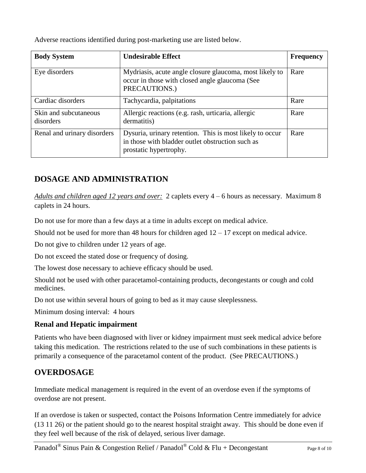Adverse reactions identified during post-marketing use are listed below.

| <b>Body System</b>                 | <b>Undesirable Effect</b>                                                                                                              | <b>Frequency</b> |
|------------------------------------|----------------------------------------------------------------------------------------------------------------------------------------|------------------|
| Eye disorders                      | Mydriasis, acute angle closure glaucoma, most likely to<br>occur in those with closed angle glaucoma (See<br>PRECAUTIONS.)             | Rare             |
| Cardiac disorders                  | Tachycardia, palpitations                                                                                                              | Rare             |
| Skin and subcutaneous<br>disorders | Allergic reactions (e.g. rash, urticaria, allergic<br>dermatitis)                                                                      | Rare             |
| Renal and urinary disorders        | Dysuria, urinary retention. This is most likely to occur<br>in those with bladder outlet obstruction such as<br>prostatic hypertrophy. | Rare             |

## **DOSAGE AND ADMINISTRATION**

*Adults and children aged 12 years and over:* 2 caplets every 4 – 6 hours as necessary. Maximum 8 caplets in 24 hours.

Do not use for more than a few days at a time in adults except on medical advice.

Should not be used for more than 48 hours for children aged  $12 - 17$  except on medical advice.

Do not give to children under 12 years of age.

Do not exceed the stated dose or frequency of dosing.

The lowest dose necessary to achieve efficacy should be used.

Should not be used with other paracetamol-containing products, decongestants or cough and cold medicines.

Do not use within several hours of going to bed as it may cause sleeplessness.

Minimum dosing interval: 4 hours

## **Renal and Hepatic impairment**

Patients who have been diagnosed with liver or kidney impairment must seek medical advice before taking this medication. The restrictions related to the use of such combinations in these patients is primarily a consequence of the paracetamol content of the product. (See PRECAUTIONS.)

## **OVERDOSAGE**

Immediate medical management is required in the event of an overdose even if the symptoms of overdose are not present.

If an overdose is taken or suspected, contact the Poisons Information Centre immediately for advice (13 11 26) or the patient should go to the nearest hospital straight away. This should be done even if they feel well because of the risk of delayed, serious liver damage.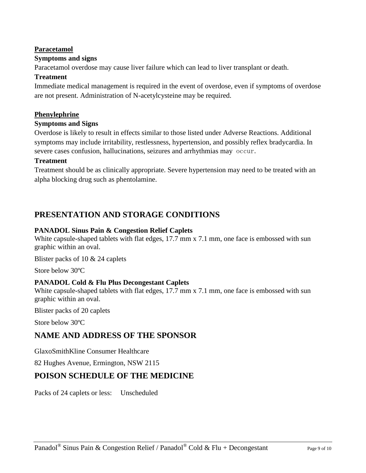#### **Paracetamol**

#### **Symptoms and signs**

Paracetamol overdose may cause liver failure which can lead to liver transplant or death.

#### **Treatment**

Immediate medical management is required in the event of overdose, even if symptoms of overdose are not present. Administration of N-acetylcysteine may be required.

#### **Phenylephrine**

#### **Symptoms and Signs**

Overdose is likely to result in effects similar to those listed under Adverse Reactions. Additional symptoms may include irritability, restlessness, hypertension, and possibly reflex bradycardia. In severe cases confusion, hallucinations, seizures and arrhythmias may occur.

#### **Treatment**

Treatment should be as clinically appropriate. Severe hypertension may need to be treated with an alpha blocking drug such as phentolamine.

## **PRESENTATION AND STORAGE CONDITIONS**

#### **PANADOL Sinus Pain & Congestion Relief Caplets**

White capsule-shaped tablets with flat edges, 17.7 mm x 7.1 mm, one face is embossed with sun graphic within an oval.

Blister packs of 10 & 24 caplets

Store below 30ºC

#### **PANADOL Cold & Flu Plus Decongestant Caplets**

White capsule-shaped tablets with flat edges, 17.7 mm x 7.1 mm, one face is embossed with sun graphic within an oval.

Blister packs of 20 caplets

Store below 30ºC

## **NAME AND ADDRESS OF THE SPONSOR**

GlaxoSmithKline Consumer Healthcare

82 Hughes Avenue, Ermington, NSW 2115

## **POISON SCHEDULE OF THE MEDICINE**

Packs of 24 caplets or less: Unscheduled